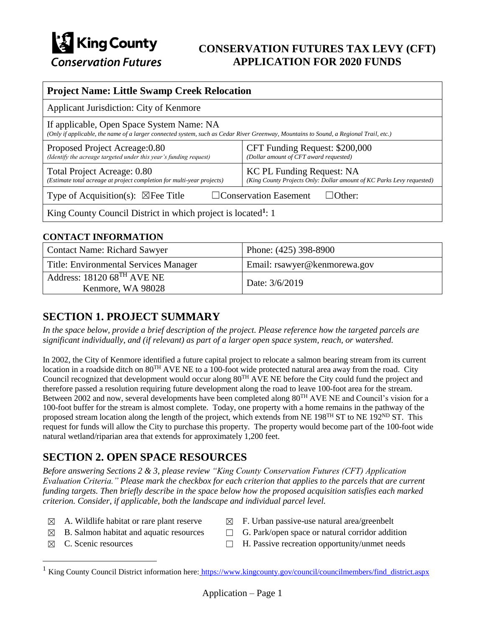

## **CONSERVATION FUTURES TAX LEVY (CFT) APPLICATION FOR 2020 FUNDS**

| <b>Project Name: Little Swamp Creek Relocation</b>                                                                                                                                 |                                                                                                    |  |
|------------------------------------------------------------------------------------------------------------------------------------------------------------------------------------|----------------------------------------------------------------------------------------------------|--|
| Applicant Jurisdiction: City of Kenmore                                                                                                                                            |                                                                                                    |  |
| If applicable, Open Space System Name: NA<br>(Only if applicable, the name of a larger connected system, such as Cedar River Greenway, Mountains to Sound, a Regional Trail, etc.) |                                                                                                    |  |
| Proposed Project Acreage: 0.80<br>(Identify the acreage targeted under this year's funding request)                                                                                | CFT Funding Request: \$200,000<br>(Dollar amount of CFT award requested)                           |  |
| Total Project Acreage: 0.80<br>(Estimate total acreage at project completion for multi-year projects)                                                                              | KC PL Funding Request: NA<br>(King County Projects Only: Dollar amount of KC Parks Levy requested) |  |
| Type of Acquisition(s): $\boxtimes$ Fee Title<br>$\Box$ Conservation Easement<br>$\Box$ Other:                                                                                     |                                                                                                    |  |
| King County Council District in which project is located <sup>1</sup> : 1                                                                                                          |                                                                                                    |  |

### **CONTACT INFORMATION**

| Contact Name: Richard Sawyer                          | Phone: (425) 398-8900        |
|-------------------------------------------------------|------------------------------|
| Title: Environmental Services Manager                 | Email: rsawyer@kenmorewa.gov |
| Address: $18120\,68^{TH}$ AVE NE<br>Kenmore, WA 98028 | Date: 3/6/2019               |

## **SECTION 1. PROJECT SUMMARY**

*In the space below, provide a brief description of the project. Please reference how the targeted parcels are significant individually, and (if relevant) as part of a larger open space system, reach, or watershed.*

In 2002, the City of Kenmore identified a future capital project to relocate a salmon bearing stream from its current location in a roadside ditch on 80<sup>TH</sup> AVE NE to a 100-foot wide protected natural area away from the road. City Council recognized that development would occur along 80TH AVE NE before the City could fund the project and therefore passed a resolution requiring future development along the road to leave 100-foot area for the stream. Between 2002 and now, several developments have been completed along 80<sup>TH</sup> AVE NE and Council's vision for a 100-foot buffer for the stream is almost complete. Today, one property with a home remains in the pathway of the proposed stream location along the length of the project, which extends from NE 198<sup>TH</sup> ST to NE 192<sup>ND</sup> ST. This request for funds will allow the City to purchase this property. The property would become part of the 100-foot wide natural wetland/riparian area that extends for approximately 1,200 feet.

## **SECTION 2. OPEN SPACE RESOURCES**

*Before answering Sections 2 & 3, please review "King County Conservation Futures (CFT) Application Evaluation Criteria." Please mark the checkbox for each criterion that applies to the parcels that are current funding targets. Then briefly describe in the space below how the proposed acquisition satisfies each marked criterion. Consider, if applicable, both the landscape and individual parcel level.*

- $\boxtimes$  A. Wildlife habitat or rare plant reserve  $\boxtimes$  F. Urban passive-use natural area/greenbelt
	-
- 
- $\boxtimes$  B. Salmon habitat and aquatic resources  $\Box$  G. Park/open space or natural corridor addition
- 

 $\overline{a}$ 

 $\boxtimes$  C. Scenic resources  $\Box$  H. Passive recreation opportunity/unmet needs

<sup>&</sup>lt;sup>1</sup> King County Council District information here: [https://www.kingcounty.gov/council/councilmembers/find\\_district.aspx](https://www.kingcounty.gov/council/councilmembers/find_district.aspx)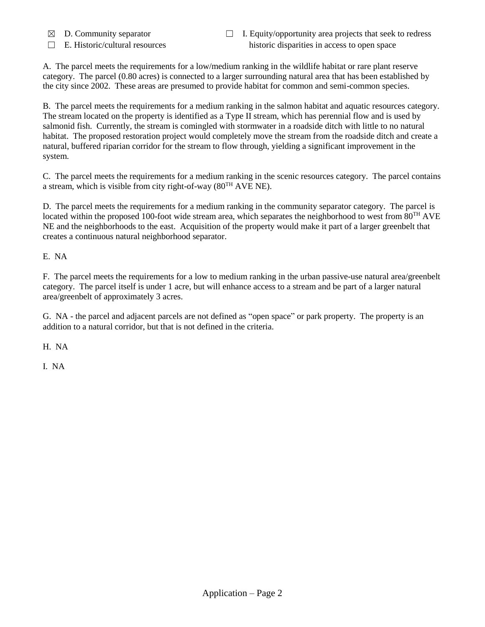- 
- 
- ☒ D. Community separator ☐ I. Equity/opportunity area projects that seek to redress  $\Box$  E. Historic/cultural resources historic disparities in access to open space

A. The parcel meets the requirements for a low/medium ranking in the wildlife habitat or rare plant reserve category. The parcel (0.80 acres) is connected to a larger surrounding natural area that has been established by the city since 2002. These areas are presumed to provide habitat for common and semi-common species.

B. The parcel meets the requirements for a medium ranking in the salmon habitat and aquatic resources category. The stream located on the property is identified as a Type II stream, which has perennial flow and is used by salmonid fish. Currently, the stream is comingled with stormwater in a roadside ditch with little to no natural habitat. The proposed restoration project would completely move the stream from the roadside ditch and create a natural, buffered riparian corridor for the stream to flow through, yielding a significant improvement in the system.

C. The parcel meets the requirements for a medium ranking in the scenic resources category. The parcel contains a stream, which is visible from city right-of-way  $(80^{TH} \text{ AVE NE})$ .

D. The parcel meets the requirements for a medium ranking in the community separator category. The parcel is located within the proposed 100-foot wide stream area, which separates the neighborhood to west from 80<sup>TH</sup> AVE NE and the neighborhoods to the east. Acquisition of the property would make it part of a larger greenbelt that creates a continuous natural neighborhood separator.

E. NA

F. The parcel meets the requirements for a low to medium ranking in the urban passive-use natural area/greenbelt category. The parcel itself is under 1 acre, but will enhance access to a stream and be part of a larger natural area/greenbelt of approximately 3 acres.

G. NA - the parcel and adjacent parcels are not defined as "open space" or park property. The property is an addition to a natural corridor, but that is not defined in the criteria.

H. NA

I. NA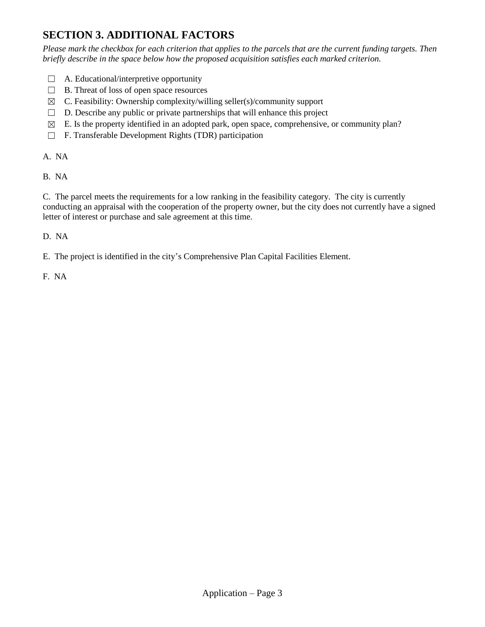# **SECTION 3. ADDITIONAL FACTORS**

*Please mark the checkbox for each criterion that applies to the parcels that are the current funding targets. Then briefly describe in the space below how the proposed acquisition satisfies each marked criterion.*

- $\Box$  A. Educational/interpretive opportunity
- $\Box$  B. Threat of loss of open space resources
- $\boxtimes$  C. Feasibility: Ownership complexity/willing seller(s)/community support
- $\Box$  D. Describe any public or private partnerships that will enhance this project
- $\boxtimes$  E. Is the property identified in an adopted park, open space, comprehensive, or community plan?
- ☐ F. Transferable Development Rights (TDR) participation

A. NA

B. NA

C. The parcel meets the requirements for a low ranking in the feasibility category. The city is currently conducting an appraisal with the cooperation of the property owner, but the city does not currently have a signed letter of interest or purchase and sale agreement at this time.

D. NA

E. The project is identified in the city's Comprehensive Plan Capital Facilities Element.

F. NA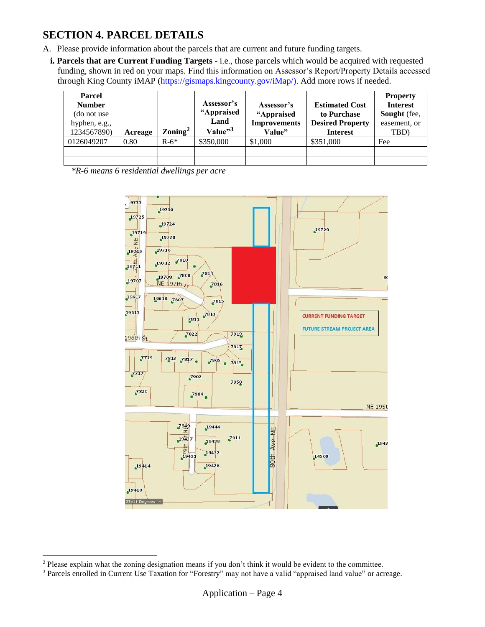## **SECTION 4. PARCEL DETAILS**

- A. Please provide information about the parcels that are current and future funding targets.
	- **i. Parcels that are Current Funding Targets** i.e., those parcels which would be acquired with requested funding, shown in red on your maps. Find this information on Assessor's Report/Property Details accessed through King County iMAP [\(https://gismaps.kingcounty.gov/iMap/\)](https://gismaps.kingcounty.gov/iMap/). Add more rows if needed.

| <b>Parcel</b><br><b>Number</b><br>(do not use)<br>hyphen, e.g.,<br>1234567890) | Acreage | $\rm Zoning^2$ | Assessor's<br>"Appraised<br>Land<br>Value" <sup>3</sup> | Assessor's<br>"Appraised<br><b>Improvements</b><br>Value" | <b>Estimated Cost</b><br>to Purchase<br><b>Desired Property</b><br><b>Interest</b> | <b>Property</b><br><b>Interest</b><br>Sought (fee,<br>easement, or<br>TBD) |
|--------------------------------------------------------------------------------|---------|----------------|---------------------------------------------------------|-----------------------------------------------------------|------------------------------------------------------------------------------------|----------------------------------------------------------------------------|
| 0126049207                                                                     | 0.80    | $R-6*$         | \$350,000                                               | \$1,000                                                   | \$351,000                                                                          | Fee                                                                        |
|                                                                                |         |                |                                                         |                                                           |                                                                                    |                                                                            |
|                                                                                |         |                |                                                         |                                                           |                                                                                    |                                                                            |

*\*R-6 means 6 residential dwellings per acre*



 $\overline{a}$ 

<sup>2</sup> Please explain what the zoning designation means if you don't think it would be evident to the committee.

<sup>3</sup> Parcels enrolled in Current Use Taxation for "Forestry" may not have a valid "appraised land value" or acreage.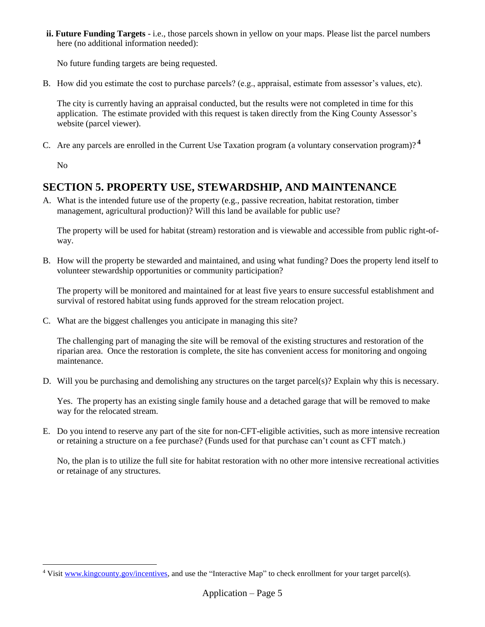**ii. Future Funding Targets** - i.e., those parcels shown in yellow on your maps. Please list the parcel numbers here (no additional information needed):

No future funding targets are being requested.

B. How did you estimate the cost to purchase parcels? (e.g., appraisal, estimate from assessor's values, etc).

The city is currently having an appraisal conducted, but the results were not completed in time for this application. The estimate provided with this request is taken directly from the King County Assessor's website (parcel viewer).

C. Are any parcels are enrolled in the Current Use Taxation program (a voluntary conservation program)? **<sup>4</sup>**

No

 $\overline{a}$ 

## **SECTION 5. PROPERTY USE, STEWARDSHIP, AND MAINTENANCE**

A. What is the intended future use of the property (e.g., passive recreation, habitat restoration, timber management, agricultural production)? Will this land be available for public use?

The property will be used for habitat (stream) restoration and is viewable and accessible from public right-ofway.

B. How will the property be stewarded and maintained, and using what funding? Does the property lend itself to volunteer stewardship opportunities or community participation?

The property will be monitored and maintained for at least five years to ensure successful establishment and survival of restored habitat using funds approved for the stream relocation project.

C. What are the biggest challenges you anticipate in managing this site?

The challenging part of managing the site will be removal of the existing structures and restoration of the riparian area. Once the restoration is complete, the site has convenient access for monitoring and ongoing maintenance.

D. Will you be purchasing and demolishing any structures on the target parcel(s)? Explain why this is necessary.

Yes. The property has an existing single family house and a detached garage that will be removed to make way for the relocated stream.

E. Do you intend to reserve any part of the site for non-CFT-eligible activities, such as more intensive recreation or retaining a structure on a fee purchase? (Funds used for that purchase can't count as CFT match.)

No, the plan is to utilize the full site for habitat restoration with no other more intensive recreational activities or retainage of any structures.

<sup>&</sup>lt;sup>4</sup> Visi[t www.kingcounty.gov/incentives,](http://www.kingcounty.gov/incentives) and use the "Interactive Map" to check enrollment for your target parcel(s).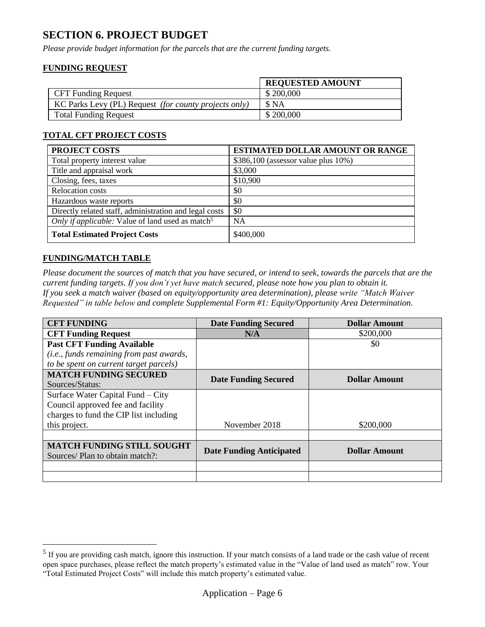## **SECTION 6. PROJECT BUDGET**

*Please provide budget information for the parcels that are the current funding targets.*

### **FUNDING REQUEST**

|                                                       | <b>REQUESTED AMOUNT</b> |
|-------------------------------------------------------|-------------------------|
| <b>CFT Funding Request</b>                            | \$200,000               |
| KC Parks Levy (PL) Request (for county projects only) | S NA                    |
| <b>Total Funding Request</b>                          | \$200,000               |

### **TOTAL CFT PROJECT COSTS**

| <b>PROJECT COSTS</b>                                         | <b>ESTIMATED DOLLAR AMOUNT OR RANGE</b>  |
|--------------------------------------------------------------|------------------------------------------|
| Total property interest value                                | $$386,100$ (assessor value plus $10\%$ ) |
| Title and appraisal work                                     | \$3,000                                  |
| Closing, fees, taxes                                         | \$10,900                                 |
| <b>Relocation costs</b>                                      | \$0                                      |
| Hazardous waste reports                                      | \$0                                      |
| Directly related staff, administration and legal costs       | \$0                                      |
| Only if applicable: Value of land used as match <sup>5</sup> | <b>NA</b>                                |
| <b>Total Estimated Project Costs</b>                         | \$400,000                                |

#### **FUNDING/MATCH TABLE**

 $\overline{a}$ 

*Please document the sources of match that you have secured, or intend to seek, towards the parcels that are the current funding targets. If you don't yet have match secured, please note how you plan to obtain it. If you seek a match waiver (based on equity/opportunity area determination), please write "Match Waiver Requested" in table below and complete Supplemental Form #1: Equity/Opportunity Area Determination.*

| <b>CFT FUNDING</b>                                                   | <b>Date Funding Secured</b>     | <b>Dollar Amount</b> |
|----------------------------------------------------------------------|---------------------------------|----------------------|
| <b>CFT Funding Request</b>                                           | N/A                             | \$200,000            |
| <b>Past CFT Funding Available</b>                                    |                                 | \$0                  |
| (i.e., funds remaining from past awards,                             |                                 |                      |
| to be spent on current target parcels)                               |                                 |                      |
| <b>MATCH FUNDING SECURED</b>                                         | <b>Date Funding Secured</b>     | <b>Dollar Amount</b> |
| Sources/Status:                                                      |                                 |                      |
| Surface Water Capital Fund – City                                    |                                 |                      |
| Council approved fee and facility                                    |                                 |                      |
| charges to fund the CIP list including                               |                                 |                      |
| this project.                                                        | November 2018                   | \$200,000            |
|                                                                      |                                 |                      |
| <b>MATCH FUNDING STILL SOUGHT</b><br>Sources/ Plan to obtain match?: | <b>Date Funding Anticipated</b> | <b>Dollar Amount</b> |
|                                                                      |                                 |                      |
|                                                                      |                                 |                      |

 $<sup>5</sup>$  If you are providing cash match, ignore this instruction. If your match consists of a land trade or the cash value of recent</sup> open space purchases, please reflect the match property's estimated value in the "Value of land used as match" row. Your "Total Estimated Project Costs" will include this match property's estimated value.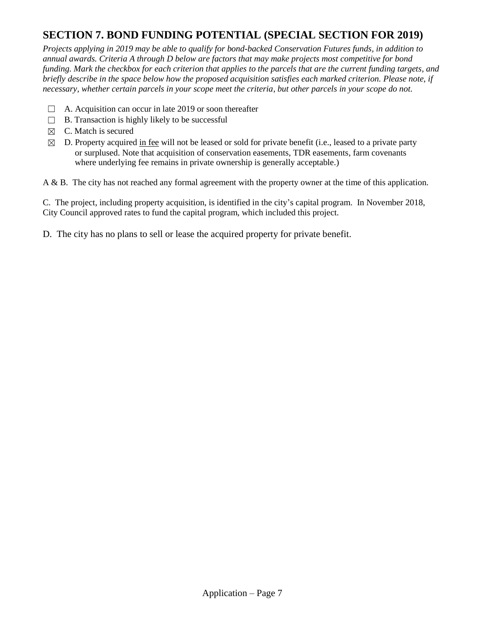# **SECTION 7. BOND FUNDING POTENTIAL (SPECIAL SECTION FOR 2019)**

*Projects applying in 2019 may be able to qualify for bond-backed Conservation Futures funds, in addition to annual awards. Criteria A through D below are factors that may make projects most competitive for bond funding. Mark the checkbox for each criterion that applies to the parcels that are the current funding targets, and briefly describe in the space below how the proposed acquisition satisfies each marked criterion. Please note, if necessary, whether certain parcels in your scope meet the criteria, but other parcels in your scope do not.*

- $\Box$  A. Acquisition can occur in late 2019 or soon thereafter
- $\Box$  B. Transaction is highly likely to be successful
- $\boxtimes$  C. Match is secured
- $\boxtimes$  D. Property acquired in fee will not be leased or sold for private benefit (i.e., leased to a private party or surplused. Note that acquisition of conservation easements, TDR easements, farm covenants where underlying fee remains in private ownership is generally acceptable.)

A & B. The city has not reached any formal agreement with the property owner at the time of this application.

C. The project, including property acquisition, is identified in the city's capital program. In November 2018, City Council approved rates to fund the capital program, which included this project.

D. The city has no plans to sell or lease the acquired property for private benefit.